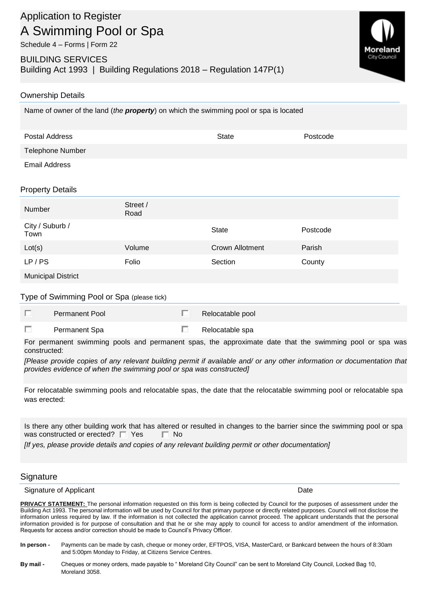BUILDING SERVICES Building Act 1993 | Building Regulations 2018 – Regulation 147P(1)



## Ownership Details

Name of owner of the land (*the property*) on which the swimming pool or spa is located

| Postal Address   | State | Postcode |
|------------------|-------|----------|
| Telephone Number |       |          |
| Email Address    |       |          |

## Property Details

| Number                  | Street /<br>Road |                        |          |
|-------------------------|------------------|------------------------|----------|
| City / Suburb /<br>Town |                  | <b>State</b>           | Postcode |
| Lot(s)                  | Volume           | <b>Crown Allotment</b> | Parish   |
| LP/PS                   | Folio            | Section                | County   |
| Municipal District      |                  |                        |          |

Municipal District

## Type of Swimming Pool or Spa (please tick)

| <b>Permanent Pool</b> | Relocatable pool |
|-----------------------|------------------|
| Permanent Spa         | Relocatable spa  |

For permanent swimming pools and permanent spas, the approximate date that the swimming pool or spa was constructed:

*[Please provide copies of any relevant building permit if available and/ or any other information or documentation that provides evidence of when the swimming pool or spa was constructed]*

For relocatable swimming pools and relocatable spas, the date that the relocatable swimming pool or relocatable spa was erected:

Is there any other building work that has altered or resulted in changes to the barrier since the swimming pool or spa was constructed or erected?  $\Box$  Yes  $\Box$  No

*[If yes, please provide details and copies of any relevant building permit or other documentation]*

## **Signature**

Signature of Applicant Date of Applicant Date of Applicant Date of Applicant Date of Applicant Date of Applicant Date of Applicant Date of Applicant Date of Applicant Date of Applicant Date of Applicant Date of Applicant D

**PRIVACY STATEMENT:** The personal information requested on this form is being collected by Council for the purposes of assessment under the Building Act 1993. The personal information will be used by Council for that primary purpose or directly related purposes. Council will not disclose the information unless required by law. If the information is not collected the application cannot proceed. The applicant understands that the personal information provided is for purpose of consultation and that he or she may apply to council for access to and/or amendment of the information. Requests for access and/or correction should be made to Council's Privacy Officer.

- **In person -** Payments can be made by cash, cheque or money order, EFTPOS, VISA, MasterCard, or Bankcard between the hours of 8:30am and 5:00pm Monday to Friday, at Citizens Service Centres.
- **By mail -** Cheques or money orders, made payable to " Moreland City Council" can be sent to Moreland City Council, Locked Bag 10, Moreland 3058.